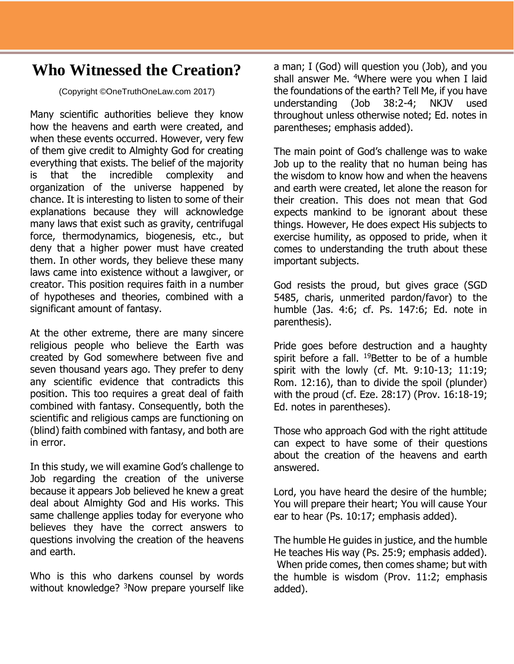## **Who Witnessed the Creation?**

(Copyright ©OneTruthOneLaw.com 2017)

Many scientific authorities believe they know how the heavens and earth were created, and when these events occurred. However, very few of them give credit to Almighty God for creating everything that exists. The belief of the majority is that the incredible complexity and organization of the universe happened by chance. It is interesting to listen to some of their explanations because they will acknowledge many laws that exist such as gravity, centrifugal force, thermodynamics, biogenesis, etc., but deny that a higher power must have created them. In other words, they believe these many laws came into existence without a lawgiver, or creator. This position requires faith in a number of hypotheses and theories, combined with a significant amount of fantasy.

At the other extreme, there are many sincere religious people who believe the Earth was created by God somewhere between five and seven thousand years ago. They prefer to deny any scientific evidence that contradicts this position. This too requires a great deal of faith combined with fantasy. Consequently, both the scientific and religious camps are functioning on (blind) faith combined with fantasy, and both are in error.

In this study, we will examine God's challenge to Job regarding the creation of the universe because it appears Job believed he knew a great deal about Almighty God and His works. This same challenge applies today for everyone who believes they have the correct answers to questions involving the creation of the heavens and earth.

Who is this who darkens counsel by words without knowledge? <sup>3</sup>Now prepare yourself like a man; I (God) will question you (Job), and you shall answer Me. <sup>4</sup>Where were you when I laid the foundations of the earth? Tell Me, if you have understanding (Job 38:2-4; NKJV used throughout unless otherwise noted; Ed. notes in parentheses; emphasis added).

The main point of God's challenge was to wake Job up to the reality that no human being has the wisdom to know how and when the heavens and earth were created, let alone the reason for their creation. This does not mean that God expects mankind to be ignorant about these things. However, He does expect His subjects to exercise humility, as opposed to pride, when it comes to understanding the truth about these important subjects.

God resists the proud, but gives grace (SGD 5485, charis, unmerited pardon/favor) to the humble (Jas. 4:6; cf. Ps. 147:6; Ed. note in parenthesis).

Pride goes before destruction and a haughty spirit before a fall. <sup>19</sup>Better to be of a humble spirit with the lowly (cf. Mt. 9:10-13; 11:19; Rom. 12:16), than to divide the spoil (plunder) with the proud (cf. Eze. 28:17) (Prov. 16:18-19; Ed. notes in parentheses).

Those who approach God with the right attitude can expect to have some of their questions about the creation of the heavens and earth answered.

Lord, you have heard the desire of the humble; You will prepare their heart; You will cause Your ear to hear (Ps. 10:17; emphasis added).

The humble He guides in justice, and the humble He teaches His way (Ps. 25:9; emphasis added). When pride comes, then comes shame; but with the humble is wisdom (Prov. 11:2; emphasis added).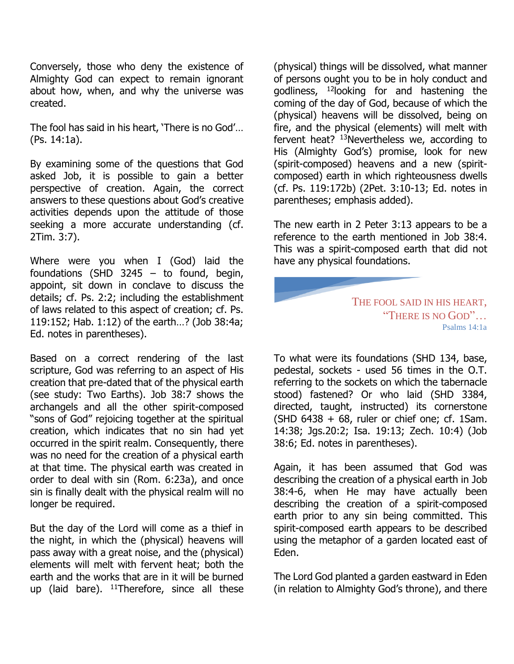Conversely, those who deny the existence of Almighty God can expect to remain ignorant about how, when, and why the universe was created.

The fool has said in his heart, 'There is no God'… (Ps. 14:1a).

By examining some of the questions that God asked Job, it is possible to gain a better perspective of creation. Again, the correct answers to these questions about God's creative activities depends upon the attitude of those seeking a more accurate understanding (cf. 2Tim. 3:7).

Where were you when I (God) laid the foundations (SHD 3245 – to found, begin, appoint, sit down in conclave to discuss the details; cf. Ps. 2:2; including the establishment of laws related to this aspect of creation; cf. Ps. 119:152; Hab. 1:12) of the earth…? (Job 38:4a; Ed. notes in parentheses).

Based on a correct rendering of the last scripture, God was referring to an aspect of His creation that pre-dated that of the physical earth (see study: Two Earths). Job 38:7 shows the archangels and all the other spirit-composed "sons of God" rejoicing together at the spiritual creation, which indicates that no sin had yet occurred in the spirit realm. Consequently, there was no need for the creation of a physical earth at that time. The physical earth was created in order to deal with sin (Rom. 6:23a), and once sin is finally dealt with the physical realm will no longer be required.

But the day of the Lord will come as a thief in the night, in which the (physical) heavens will pass away with a great noise, and the (physical) elements will melt with fervent heat; both the earth and the works that are in it will be burned up (laid bare).  $11$ Therefore, since all these

(physical) things will be dissolved, what manner of persons ought you to be in holy conduct and godliness, <sup>12</sup>looking for and hastening the coming of the day of God, because of which the (physical) heavens will be dissolved, being on fire, and the physical (elements) will melt with fervent heat? <sup>13</sup>Nevertheless we, according to His (Almighty God's) promise, look for new (spirit-composed) heavens and a new (spiritcomposed) earth in which righteousness dwells (cf. Ps. 119:172b) (2Pet. 3:10-13; Ed. notes in parentheses; emphasis added).

The new earth in 2 Peter 3:13 appears to be a reference to the earth mentioned in Job 38:4. This was a spirit-composed earth that did not have any physical foundations.

> THE FOOL SAID IN HIS HEART, "THERE IS NO GOD"… Psalms 14:1a

To what were its foundations (SHD 134, base, pedestal, sockets - used 56 times in the O.T. referring to the sockets on which the tabernacle stood) fastened? Or who laid (SHD 3384, directed, taught, instructed) its cornerstone  $(SHD 6438 + 68,$  ruler or chief one; cf. 1Sam. 14:38; Jgs.20:2; Isa. 19:13; Zech. 10:4) (Job 38:6; Ed. notes in parentheses).

Again, it has been assumed that God was describing the creation of a physical earth in Job 38:4-6, when He may have actually been describing the creation of a spirit-composed earth prior to any sin being committed. This spirit-composed earth appears to be described using the metaphor of a garden located east of Eden.

The Lord God planted a garden eastward in Eden (in relation to Almighty God's throne), and there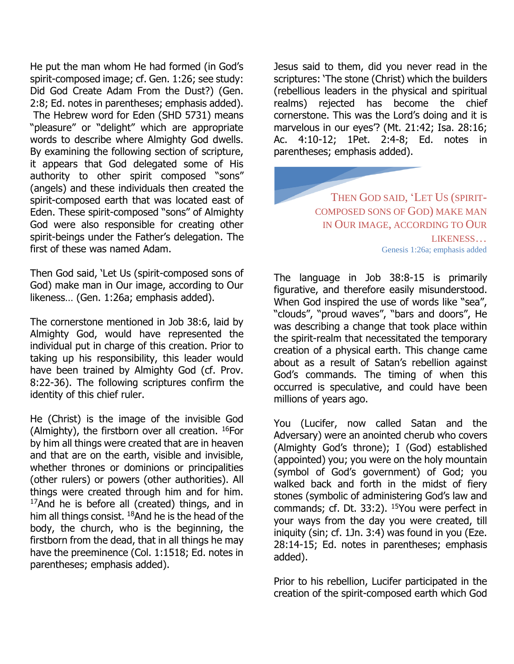He put the man whom He had formed (in God's spirit-composed image; cf. Gen. 1:26; see study: Did God Create Adam From the Dust?) (Gen. 2:8; Ed. notes in parentheses; emphasis added). The Hebrew word for Eden (SHD 5731) means "pleasure" or "delight" which are appropriate words to describe where Almighty God dwells. By examining the following section of scripture, it appears that God delegated some of His authority to other spirit composed "sons" (angels) and these individuals then created the spirit-composed earth that was located east of Eden. These spirit-composed "sons" of Almighty God were also responsible for creating other spirit-beings under the Father's delegation. The first of these was named Adam.

Then God said, 'Let Us (spirit-composed sons of God) make man in Our image, according to Our likeness… (Gen. 1:26a; emphasis added).

The cornerstone mentioned in Job 38:6, laid by Almighty God, would have represented the individual put in charge of this creation. Prior to taking up his responsibility, this leader would have been trained by Almighty God (cf. Prov. 8:22-36). The following scriptures confirm the identity of this chief ruler.

He (Christ) is the image of the invisible God (Almighty), the firstborn over all creation.  $^{16}$ For by him all things were created that are in heaven and that are on the earth, visible and invisible, whether thrones or dominions or principalities (other rulers) or powers (other authorities). All things were created through him and for him.  $17$ And he is before all (created) things, and in him all things consist. <sup>18</sup>And he is the head of the body, the church, who is the beginning, the firstborn from the dead, that in all things he may have the preeminence (Col. 1:1518; Ed. notes in parentheses; emphasis added).

Jesus said to them, did you never read in the scriptures: 'The stone (Christ) which the builders (rebellious leaders in the physical and spiritual realms) rejected has become the chief cornerstone. This was the Lord's doing and it is marvelous in our eyes'? (Mt. 21:42; Isa. 28:16; Ac. 4:10-12; 1Pet. 2:4-8; Ed. notes in parentheses; emphasis added).

> THEN GOD SAID, 'LET US (SPIRIT-COMPOSED SONS OF GOD) MAKE MAN IN OUR IMAGE, ACCORDING TO OUR LIKENESS… Genesis 1:26a; emphasis added

The language in Job 38:8-15 is primarily figurative, and therefore easily misunderstood. When God inspired the use of words like "sea", "clouds", "proud waves", "bars and doors", He was describing a change that took place within the spirit-realm that necessitated the temporary creation of a physical earth. This change came about as a result of Satan's rebellion against God's commands. The timing of when this occurred is speculative, and could have been millions of years ago.

You (Lucifer, now called Satan and the Adversary) were an anointed cherub who covers (Almighty God's throne); I (God) established (appointed) you; you were on the holy mountain (symbol of God's government) of God; you walked back and forth in the midst of fiery stones (symbolic of administering God's law and commands; cf. Dt. 33:2). <sup>15</sup>You were perfect in your ways from the day you were created, till iniquity (sin; cf. 1Jn. 3:4) was found in you (Eze. 28:14-15; Ed. notes in parentheses; emphasis added).

Prior to his rebellion, Lucifer participated in the creation of the spirit-composed earth which God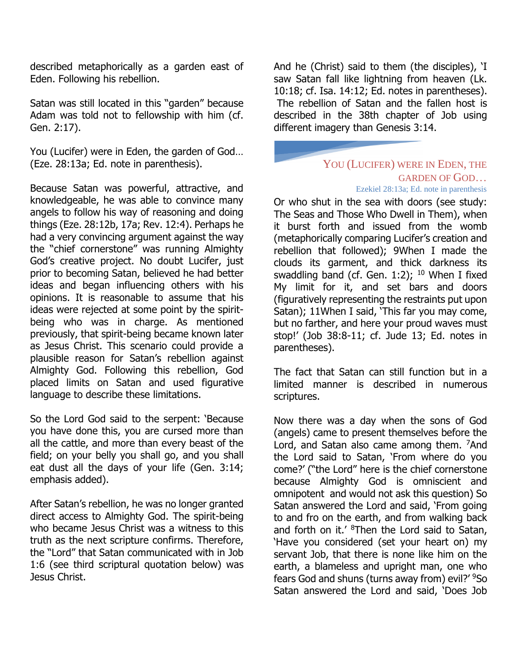described metaphorically as a garden east of Eden. Following his rebellion.

Satan was still located in this "garden" because Adam was told not to fellowship with him (cf. Gen. 2:17).

You (Lucifer) were in Eden, the garden of God… (Eze. 28:13a; Ed. note in parenthesis).

Because Satan was powerful, attractive, and knowledgeable, he was able to convince many angels to follow his way of reasoning and doing things (Eze. 28:12b, 17a; Rev. 12:4). Perhaps he had a very convincing argument against the way the "chief cornerstone" was running Almighty God's creative project. No doubt Lucifer, just prior to becoming Satan, believed he had better ideas and began influencing others with his opinions. It is reasonable to assume that his ideas were rejected at some point by the spiritbeing who was in charge. As mentioned previously, that spirit-being became known later as Jesus Christ. This scenario could provide a plausible reason for Satan's rebellion against Almighty God. Following this rebellion, God placed limits on Satan and used figurative language to describe these limitations.

So the Lord God said to the serpent: 'Because you have done this, you are cursed more than all the cattle, and more than every beast of the field; on your belly you shall go, and you shall eat dust all the days of your life (Gen. 3:14; emphasis added).

After Satan's rebellion, he was no longer granted direct access to Almighty God. The spirit-being who became Jesus Christ was a witness to this truth as the next scripture confirms. Therefore, the "Lord" that Satan communicated with in Job 1:6 (see third scriptural quotation below) was Jesus Christ.

And he (Christ) said to them (the disciples), 'I saw Satan fall like lightning from heaven (Lk. 10:18; cf. Isa. 14:12; Ed. notes in parentheses). The rebellion of Satan and the fallen host is described in the 38th chapter of Job using different imagery than Genesis 3:14.

## YOU (LUCIFER) WERE IN EDEN, THE GARDEN OF GOD… Ezekiel 28:13a; Ed. note in parenthesis

Or who shut in the sea with doors (see study: The Seas and Those Who Dwell in Them), when it burst forth and issued from the womb (metaphorically comparing Lucifer's creation and rebellion that followed); 9When I made the clouds its garment, and thick darkness its swaddling band (cf. Gen. 1:2);  $10$  When I fixed My limit for it, and set bars and doors (figuratively representing the restraints put upon Satan); 11When I said, 'This far you may come, but no farther, and here your proud waves must stop!' (Job 38:8-11; cf. Jude 13; Ed. notes in parentheses).

The fact that Satan can still function but in a limited manner is described in numerous scriptures.

Now there was a day when the sons of God (angels) came to present themselves before the Lord, and Satan also came among them. <sup>7</sup>And the Lord said to Satan, 'From where do you come?' ("the Lord" here is the chief cornerstone because Almighty God is omniscient and omnipotent and would not ask this question) So Satan answered the Lord and said, 'From going to and fro on the earth, and from walking back and forth on it.' <sup>8</sup>Then the Lord said to Satan, 'Have you considered (set your heart on) my servant Job, that there is none like him on the earth, a blameless and upright man, one who fears God and shuns (turns away from) evil?' <sup>9</sup>So Satan answered the Lord and said, 'Does Job